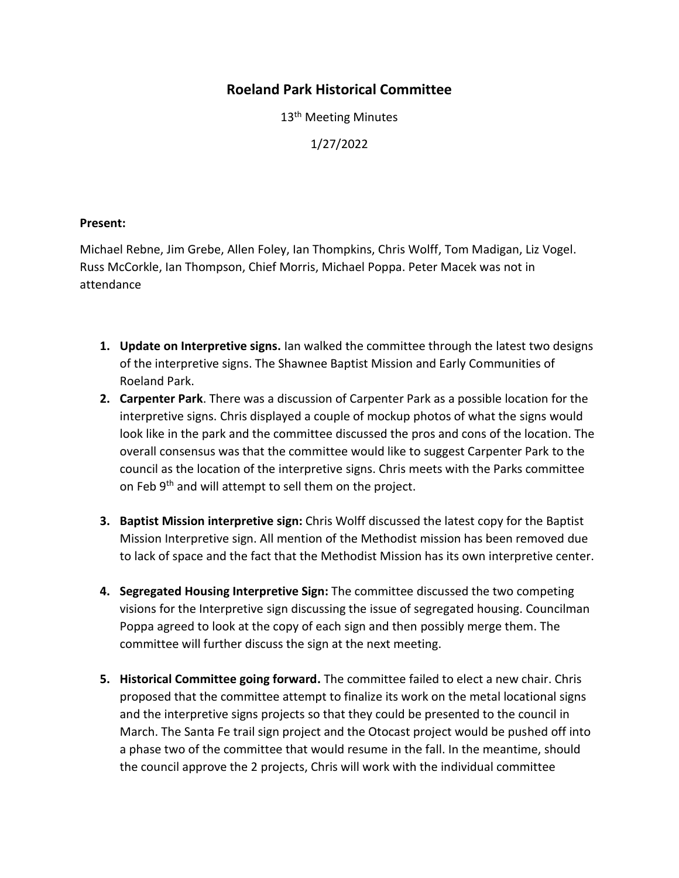## **Roeland Park Historical Committee**

13<sup>th</sup> Meeting Minutes

1/27/2022

## **Present:**

Michael Rebne, Jim Grebe, Allen Foley, Ian Thompkins, Chris Wolff, Tom Madigan, Liz Vogel. Russ McCorkle, Ian Thompson, Chief Morris, Michael Poppa. Peter Macek was not in attendance

- **1. Update on Interpretive signs.** Ian walked the committee through the latest two designs of the interpretive signs. The Shawnee Baptist Mission and Early Communities of Roeland Park.
- **2. Carpenter Park**. There was a discussion of Carpenter Park as a possible location for the interpretive signs. Chris displayed a couple of mockup photos of what the signs would look like in the park and the committee discussed the pros and cons of the location. The overall consensus was that the committee would like to suggest Carpenter Park to the council as the location of the interpretive signs. Chris meets with the Parks committee on Feb 9<sup>th</sup> and will attempt to sell them on the project.
- **3. Baptist Mission interpretive sign:** Chris Wolff discussed the latest copy for the Baptist Mission Interpretive sign. All mention of the Methodist mission has been removed due to lack of space and the fact that the Methodist Mission has its own interpretive center.
- **4. Segregated Housing Interpretive Sign:** The committee discussed the two competing visions for the Interpretive sign discussing the issue of segregated housing. Councilman Poppa agreed to look at the copy of each sign and then possibly merge them. The committee will further discuss the sign at the next meeting.
- **5. Historical Committee going forward.** The committee failed to elect a new chair. Chris proposed that the committee attempt to finalize its work on the metal locational signs and the interpretive signs projects so that they could be presented to the council in March. The Santa Fe trail sign project and the Otocast project would be pushed off into a phase two of the committee that would resume in the fall. In the meantime, should the council approve the 2 projects, Chris will work with the individual committee